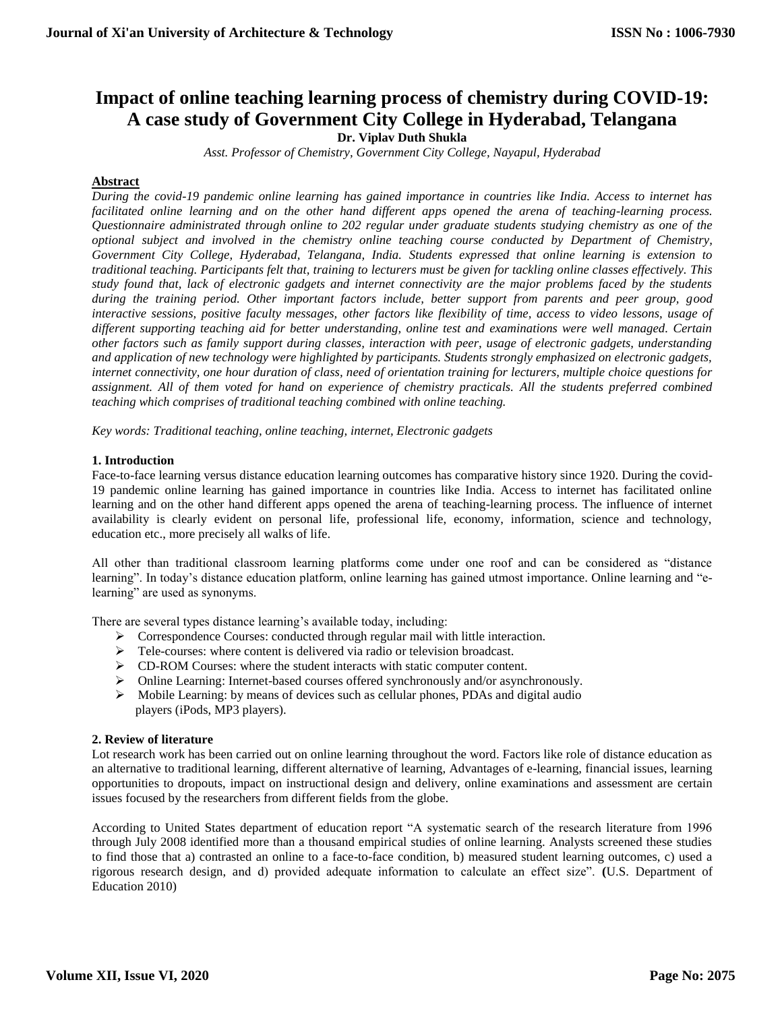# **Impact of online teaching learning process of chemistry during COVID-19: A case study of Government City College in Hyderabad, Telangana Dr. Viplav Duth Shukla**

*Asst. Professor of Chemistry, Government City College, Nayapul, Hyderabad*

# **Abstract**

*During the covid-19 pandemic online learning has gained importance in countries like India. Access to internet has facilitated online learning and on the other hand different apps opened the arena of teaching-learning process. Questionnaire administrated through online to 202 regular under graduate students studying chemistry as one of the optional subject and involved in the chemistry online teaching course conducted by Department of Chemistry, Government City College, Hyderabad, Telangana, India. Students expressed that online learning is extension to traditional teaching. Participants felt that, training to lecturers must be given for tackling online classes effectively. This study found that, lack of electronic gadgets and internet connectivity are the major problems faced by the students during the training period. Other important factors include, better support from parents and peer group, good interactive sessions, positive faculty messages, other factors like flexibility of time, access to video lessons, usage of different supporting teaching aid for better understanding, online test and examinations were well managed. Certain other factors such as family support during classes, interaction with peer, usage of electronic gadgets, understanding and application of new technology were highlighted by participants. Students strongly emphasized on electronic gadgets, internet connectivity, one hour duration of class, need of orientation training for lecturers, multiple choice questions for assignment. All of them voted for hand on experience of chemistry practicals. All the students preferred combined teaching which comprises of traditional teaching combined with online teaching.* 

*Key words: Traditional teaching, online teaching, internet, Electronic gadgets*

# **1. Introduction**

Face-to-face learning versus distance education learning outcomes has comparative history since 1920. During the covid-19 pandemic online learning has gained importance in countries like India. Access to internet has facilitated online learning and on the other hand different apps opened the arena of teaching-learning process. The influence of internet availability is clearly evident on personal life, professional life, economy, information, science and technology, education etc., more precisely all walks of life.

All other than traditional classroom learning platforms come under one roof and can be considered as "distance learning". In today's distance education platform, online learning has gained utmost importance. Online learning and "elearning" are used as synonyms.

There are several types distance learning's available today, including:

- $\triangleright$  Correspondence Courses: conducted through regular mail with little interaction.
- > Tele-courses: where content is delivered via radio or television broadcast.
- CD-ROM Courses: where the student interacts with static computer content.
- Online Learning: Internet-based courses offered synchronously and/or asynchronously.
- Mobile Learning: by means of devices such as cellular phones, PDAs and digital audio players (iPods, MP3 players).

### **2. Review of literature**

Lot research work has been carried out on online learning throughout the word. Factors like role of distance education as an alternative to traditional learning, different alternative of learning, Advantages of e-learning, financial issues, learning opportunities to dropouts, impact on instructional design and delivery, online examinations and assessment are certain issues focused by the researchers from different fields from the globe.

According to United States department of education report "A systematic search of the research literature from 1996 through July 2008 identified more than a thousand empirical studies of online learning. Analysts screened these studies to find those that a) contrasted an online to a face-to-face condition, b) measured student learning outcomes, c) used a rigorous research design, and d) provided adequate information to calculate an effect size". **(**U.S. Department of Education 2010)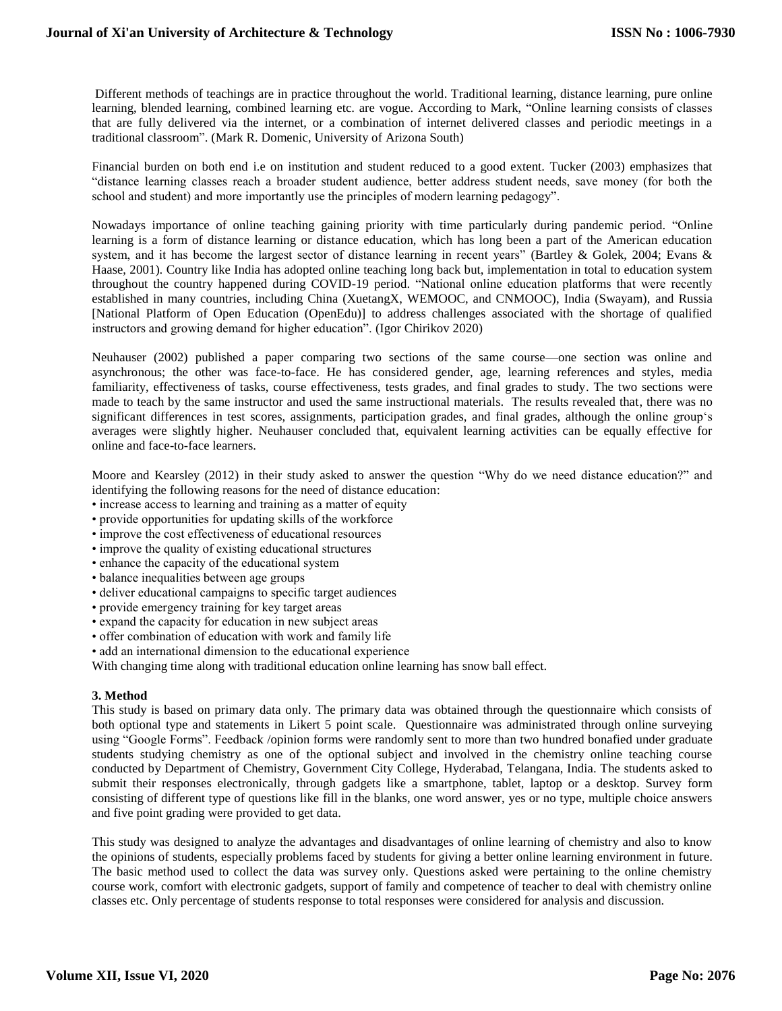Different methods of teachings are in practice throughout the world. Traditional learning, distance learning, pure online learning, blended learning, combined learning etc. are vogue. According to Mark, "Online learning consists of classes that are fully delivered via the internet, or a combination of internet delivered classes and periodic meetings in a traditional classroom". (Mark R. Domenic, University of Arizona South)

Financial burden on both end i.e on institution and student reduced to a good extent. Tucker (2003) emphasizes that "distance learning classes reach a broader student audience, better address student needs, save money (for both the school and student) and more importantly use the principles of modern learning pedagogy".

Nowadays importance of online teaching gaining priority with time particularly during pandemic period. "Online learning is a form of distance learning or distance education, which has long been a part of the American education system, and it has become the largest sector of distance learning in recent years" (Bartley & Golek, 2004; Evans & Haase, 2001). Country like India has adopted online teaching long back but, implementation in total to education system throughout the country happened during COVID-19 period. "National online education platforms that were recently established in many countries, including China (XuetangX, WEMOOC, and CNMOOC), India (Swayam), and Russia [National Platform of Open Education (OpenEdu)] to address challenges associated with the shortage of qualified instructors and growing demand for higher education". (Igor Chirikov 2020)

Neuhauser (2002) published a paper comparing two sections of the same course—one section was online and asynchronous; the other was face-to-face. He has considered gender, age, learning references and styles, media familiarity, effectiveness of tasks, course effectiveness, tests grades, and final grades to study. The two sections were made to teach by the same instructor and used the same instructional materials. The results revealed that, there was no significant differences in test scores, assignments, participation grades, and final grades, although the online group's averages were slightly higher. Neuhauser concluded that, equivalent learning activities can be equally effective for online and face-to-face learners.

Moore and Kearsley (2012) in their study asked to answer the question "Why do we need distance education?" and identifying the following reasons for the need of distance education:

- increase access to learning and training as a matter of equity
- provide opportunities for updating skills of the workforce
- improve the cost effectiveness of educational resources
- improve the quality of existing educational structures
- enhance the capacity of the educational system
- balance inequalities between age groups
- deliver educational campaigns to specific target audiences
- provide emergency training for key target areas
- expand the capacity for education in new subject areas
- offer combination of education with work and family life
- add an international dimension to the educational experience

With changing time along with traditional education online learning has snow ball effect.

# **3. Method**

This study is based on primary data only. The primary data was obtained through the questionnaire which consists of both optional type and statements in Likert 5 point scale. Questionnaire was administrated through online surveying using "Google Forms". Feedback /opinion forms were randomly sent to more than two hundred bonafied under graduate students studying chemistry as one of the optional subject and involved in the chemistry online teaching course conducted by Department of Chemistry, Government City College, Hyderabad, Telangana, India. The students asked to submit their responses electronically, through gadgets like a smartphone, tablet, laptop or a desktop. Survey form consisting of different type of questions like fill in the blanks, one word answer, yes or no type, multiple choice answers and five point grading were provided to get data.

This study was designed to analyze the advantages and disadvantages of online learning of chemistry and also to know the opinions of students, especially problems faced by students for giving a better online learning environment in future. The basic method used to collect the data was survey only. Questions asked were pertaining to the online chemistry course work, comfort with electronic gadgets, support of family and competence of teacher to deal with chemistry online classes etc. Only percentage of students response to total responses were considered for analysis and discussion.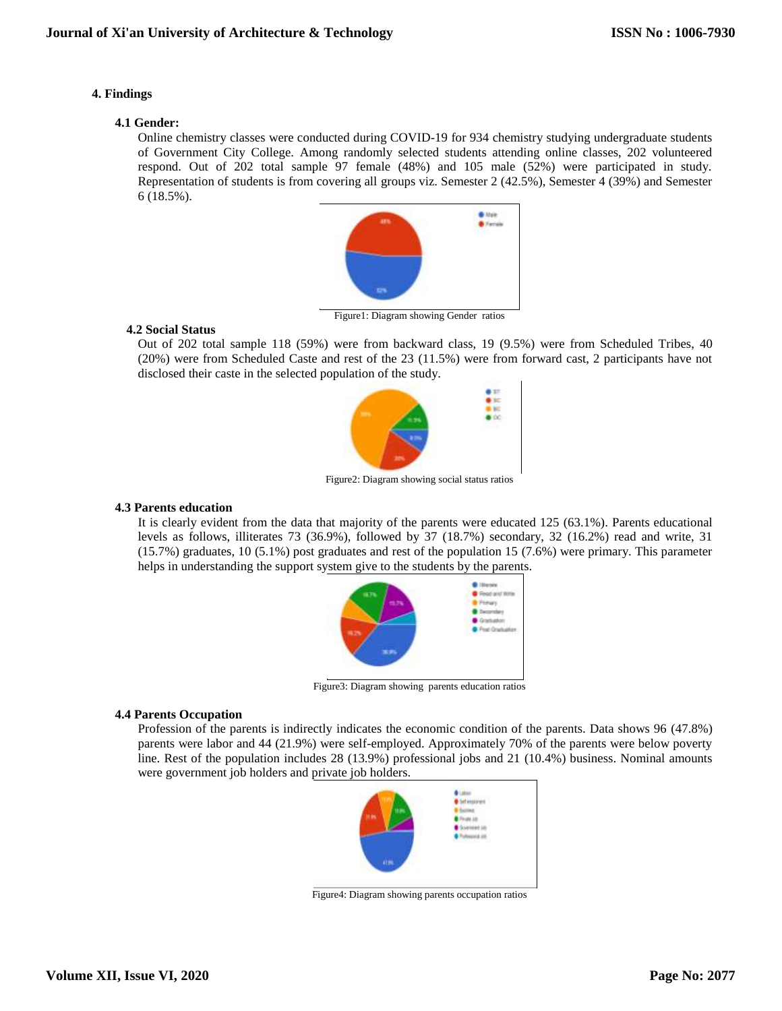# **4. Findings**

### **4.1 Gender:**

Online chemistry classes were conducted during COVID-19 for 934 chemistry studying undergraduate students of Government City College. Among randomly selected students attending online classes, 202 volunteered respond. Out of 202 total sample 97 female (48%) and 105 male (52%) were participated in study. Representation of students is from covering all groups viz. Semester 2 (42.5%), Semester 4 (39%) and Semester 6 (18.5%).



Figure1: Diagram showing Gender ratios

# **4.2 Social Status**

Out of 202 total sample 118 (59%) were from backward class, 19 (9.5%) were from Scheduled Tribes, 40 (20%) were from Scheduled Caste and rest of the 23 (11.5%) were from forward cast, 2 participants have not disclosed their caste in the selected population of the study.



Figure2: Diagram showing social status ratios

# **4.3 Parents education**

It is clearly evident from the data that majority of the parents were educated 125 (63.1%). Parents educational levels as follows, illiterates 73 (36.9%), followed by 37 (18.7%) secondary, 32 (16.2%) read and write, 31 (15.7%) graduates, 10 (5.1%) post graduates and rest of the population 15 (7.6%) were primary. This parameter helps in understanding the support system give to the students by the parents.



Figure3: Diagram showing parents education ratios

### **4.4 Parents Occupation**

Profession of the parents is indirectly indicates the economic condition of the parents. Data shows 96 (47.8%) parents were labor and 44 (21.9%) were self-employed. Approximately 70% of the parents were below poverty line. Rest of the population includes 28 (13.9%) professional jobs and 21 (10.4%) business. Nominal amounts were government job holders and private job holders.



Figure4: Diagram showing parents occupation ratios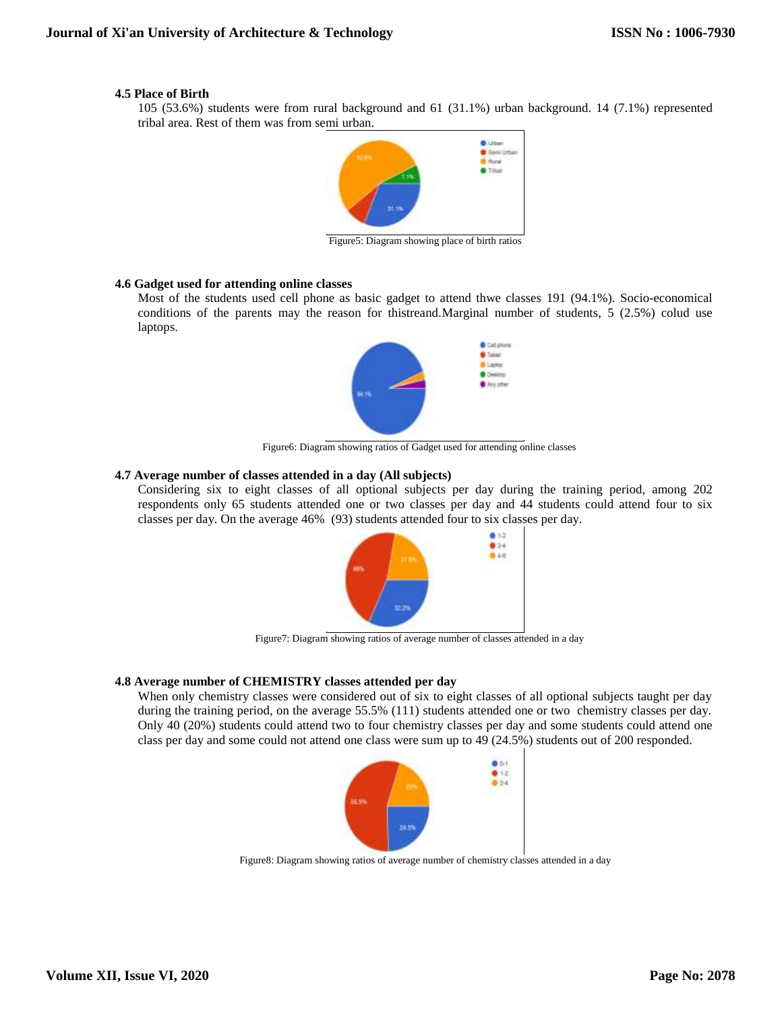# **4.5 Place of Birth**

105 (53.6%) students were from rural background and 61 (31.1%) urban background. 14 (7.1%) represented tribal area. Rest of them was from semi urban.



Figure5: Diagram showing place of birth ratios

# **4.6 Gadget used for attending online classes**

Most of the students used cell phone as basic gadget to attend thwe classes 191 (94.1%). Socio-economical conditions of the parents may the reason for thistreand.Marginal number of students, 5 (2.5%) colud use laptops.



Figure6: Diagram showing ratios of Gadget used for attending online classes

# **4.7 Average number of classes attended in a day (All subjects)**

Considering six to eight classes of all optional subjects per day during the training period, among 202 respondents only 65 students attended one or two classes per day and 44 students could attend four to six classes per day. On the average 46% (93) students attended four to six classes per day.



Figure7: Diagram showing ratios of average number of classes attended in a day

# **4.8 Average number of CHEMISTRY classes attended per day**

When only chemistry classes were considered out of six to eight classes of all optional subjects taught per day during the training period, on the average 55.5% (111) students attended one or two chemistry classes per day. Only 40 (20%) students could attend two to four chemistry classes per day and some students could attend one class per day and some could not attend one class were sum up to 49 (24.5%) students out of 200 responded.



Figure8: Diagram showing ratios of average number of chemistry classes attended in a day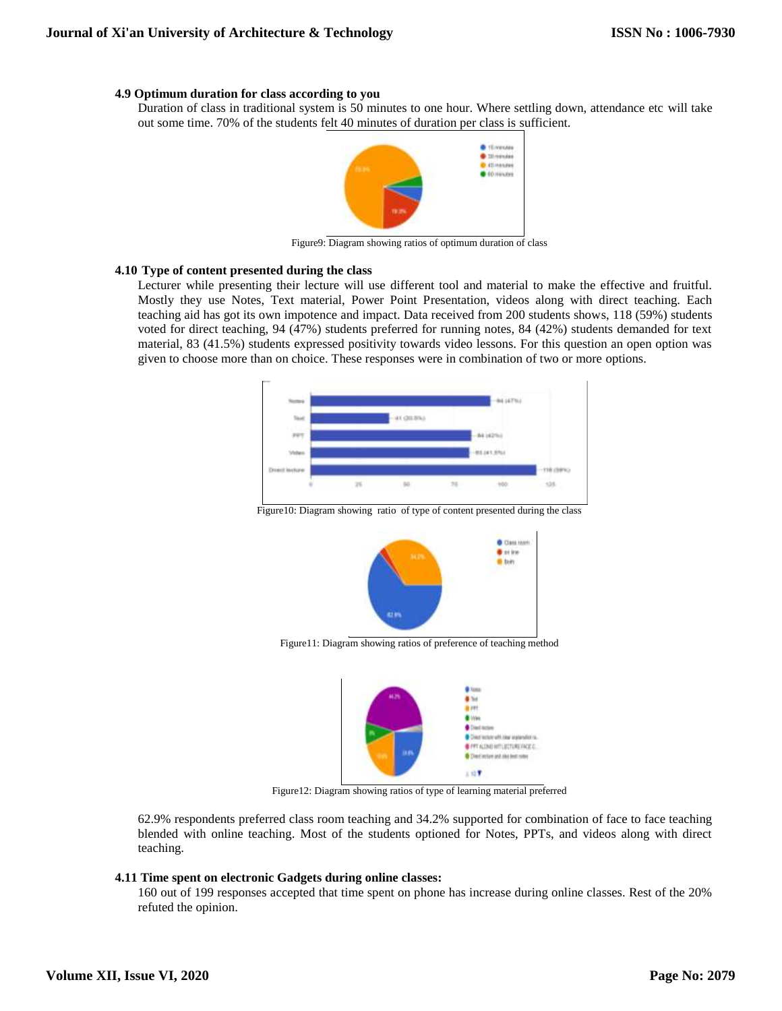### **4.9 Optimum duration for class according to you**

Duration of class in traditional system is 50 minutes to one hour. Where settling down, attendance etc will take out some time. 70% of the students felt 40 minutes of duration per class is sufficient.



Figure9: Diagram showing ratios of optimum duration of class

#### **4.10 Type of content presented during the class**

Lecturer while presenting their lecture will use different tool and material to make the effective and fruitful. Mostly they use Notes, Text material, Power Point Presentation, videos along with direct teaching. Each teaching aid has got its own impotence and impact. Data received from 200 students shows, 118 (59%) students voted for direct teaching, 94 (47%) students preferred for running notes, 84 (42%) students demanded for text material, 83 (41.5%) students expressed positivity towards video lessons. For this question an open option was given to choose more than on choice. These responses were in combination of two or more options.



Figure10: Diagram showing ratio of type of content presented during the class



**Figure11:** Diagram showing ratios of preference of teaching method



**Figure12: Diagram showing ratios of type of learning material preferred** 

62.9% respondents preferred class room teaching and 34.2% supported for combination of face to face teaching blended with online teaching. Most of the students optioned for Notes, PPTs, and videos along with direct teaching.

#### **4.11 Time spent on electronic Gadgets during online classes:**

160 out of 199 responses accepted that time spent on phone has increase during online classes. Rest of the 20% refuted the opinion.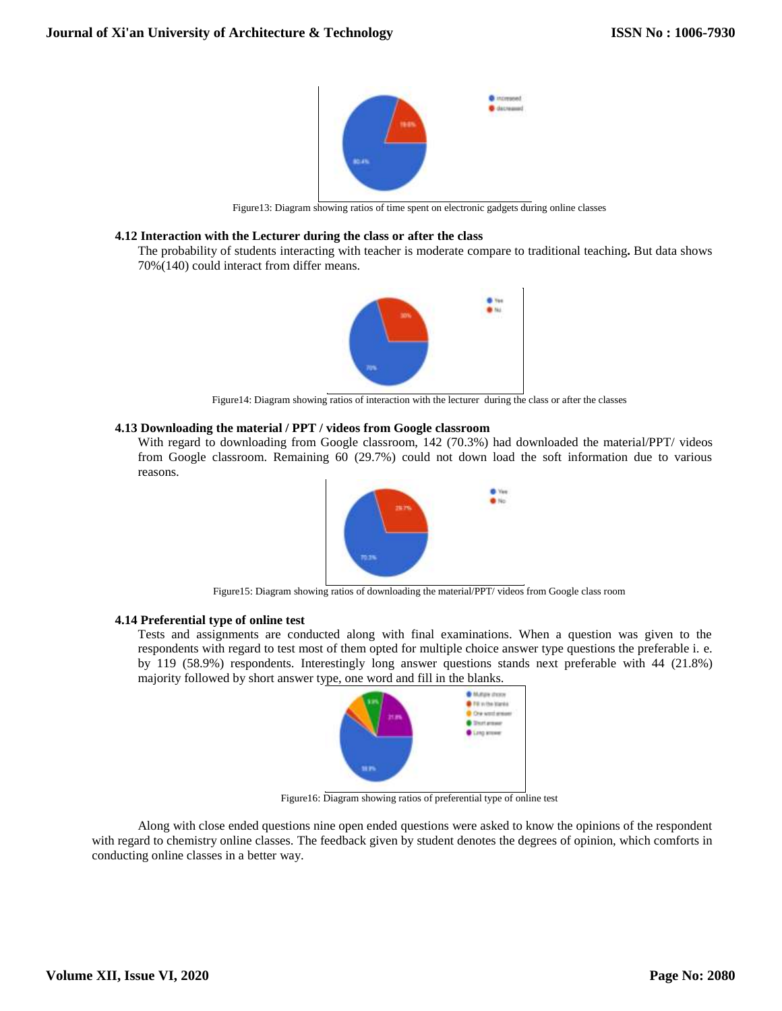

Figure13: Diagram showing ratios of time spent on electronic gadgets during online classes

### **4.12 Interaction with the Lecturer during the class or after the class**

The probability of students interacting with teacher is moderate compare to traditional teaching**.** But data shows 70%(140) could interact from differ means.



Figure14: Diagram showing ratios of interaction with the lecturer during the class or after the classes

# **4.13 Downloading the material / PPT / videos from Google classroom**

With regard to downloading from Google classroom, 142 (70.3%) had downloaded the material/PPT/ videos from Google classroom. Remaining 60 (29.7%) could not down load the soft information due to various reasons.



Figure15: Diagram showing ratios of downloading the material/PPT/ videos from Google class room

### **4.14 Preferential type of online test**

Tests and assignments are conducted along with final examinations. When a question was given to the respondents with regard to test most of them opted for multiple choice answer type questions the preferable i. e. by 119 (58.9%) respondents. Interestingly long answer questions stands next preferable with 44 (21.8%) majority followed by short answer type, one word and fill in the blanks.



Figure16: Diagram showing ratios of preferential type of online test

Along with close ended questions nine open ended questions were asked to know the opinions of the respondent with regard to chemistry online classes. The feedback given by student denotes the degrees of opinion, which comforts in conducting online classes in a better way.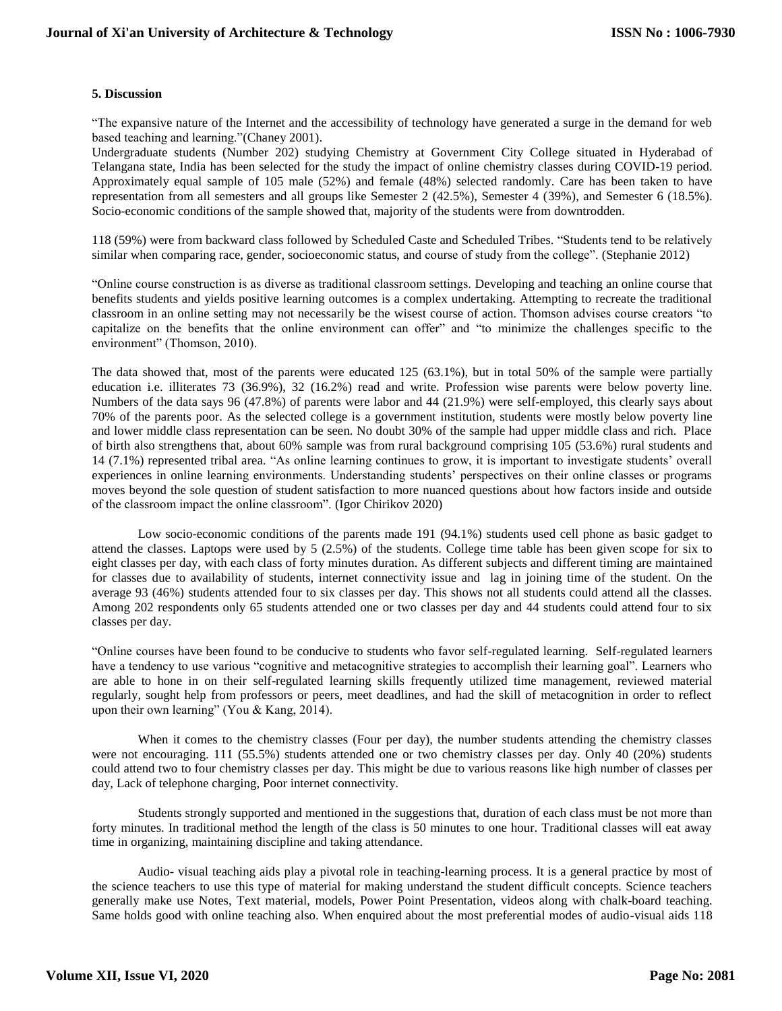# **5. Discussion**

"The expansive nature of the Internet and the accessibility of technology have generated a surge in the demand for web based teaching and learning."(Chaney 2001).

Undergraduate students (Number 202) studying Chemistry at Government City College situated in Hyderabad of Telangana state, India has been selected for the study the impact of online chemistry classes during COVID-19 period. Approximately equal sample of 105 male (52%) and female (48%) selected randomly. Care has been taken to have representation from all semesters and all groups like Semester 2 (42.5%), Semester 4 (39%), and Semester 6 (18.5%). Socio-economic conditions of the sample showed that, majority of the students were from downtrodden.

118 (59%) were from backward class followed by Scheduled Caste and Scheduled Tribes. "Students tend to be relatively similar when comparing race, gender, socioeconomic status, and course of study from the college". (Stephanie 2012)

"Online course construction is as diverse as traditional classroom settings. Developing and teaching an online course that benefits students and yields positive learning outcomes is a complex undertaking. Attempting to recreate the traditional classroom in an online setting may not necessarily be the wisest course of action. Thomson advises course creators "to capitalize on the benefits that the online environment can offer" and "to minimize the challenges specific to the environment" (Thomson, 2010).

The data showed that, most of the parents were educated 125 (63.1%), but in total 50% of the sample were partially education i.e. illiterates 73 (36.9%), 32 (16.2%) read and write. Profession wise parents were below poverty line. Numbers of the data says 96 (47.8%) of parents were labor and 44 (21.9%) were self-employed, this clearly says about 70% of the parents poor. As the selected college is a government institution, students were mostly below poverty line and lower middle class representation can be seen. No doubt 30% of the sample had upper middle class and rich. Place of birth also strengthens that, about 60% sample was from rural background comprising 105 (53.6%) rural students and 14 (7.1%) represented tribal area. "As online learning continues to grow, it is important to investigate students' overall experiences in online learning environments. Understanding students' perspectives on their online classes or programs moves beyond the sole question of student satisfaction to more nuanced questions about how factors inside and outside of the classroom impact the online classroom". (Igor Chirikov 2020)

Low socio-economic conditions of the parents made 191 (94.1%) students used cell phone as basic gadget to attend the classes. Laptops were used by 5 (2.5%) of the students. College time table has been given scope for six to eight classes per day, with each class of forty minutes duration. As different subjects and different timing are maintained for classes due to availability of students, internet connectivity issue and lag in joining time of the student. On the average 93 (46%) students attended four to six classes per day. This shows not all students could attend all the classes. Among 202 respondents only 65 students attended one or two classes per day and 44 students could attend four to six classes per day.

"Online courses have been found to be conducive to students who favor self-regulated learning. Self-regulated learners have a tendency to use various "cognitive and metacognitive strategies to accomplish their learning goal". Learners who are able to hone in on their self-regulated learning skills frequently utilized time management, reviewed material regularly, sought help from professors or peers, meet deadlines, and had the skill of metacognition in order to reflect upon their own learning" (You & Kang, 2014).

When it comes to the chemistry classes (Four per day), the number students attending the chemistry classes were not encouraging. 111 (55.5%) students attended one or two chemistry classes per day. Only 40 (20%) students could attend two to four chemistry classes per day. This might be due to various reasons like high number of classes per day, Lack of telephone charging, Poor internet connectivity.

Students strongly supported and mentioned in the suggestions that, duration of each class must be not more than forty minutes. In traditional method the length of the class is 50 minutes to one hour. Traditional classes will eat away time in organizing, maintaining discipline and taking attendance.

Audio- visual teaching aids play a pivotal role in teaching-learning process. It is a general practice by most of the science teachers to use this type of material for making understand the student difficult concepts. Science teachers generally make use Notes, Text material, models, Power Point Presentation, videos along with chalk-board teaching. Same holds good with online teaching also. When enquired about the most preferential modes of audio-visual aids 118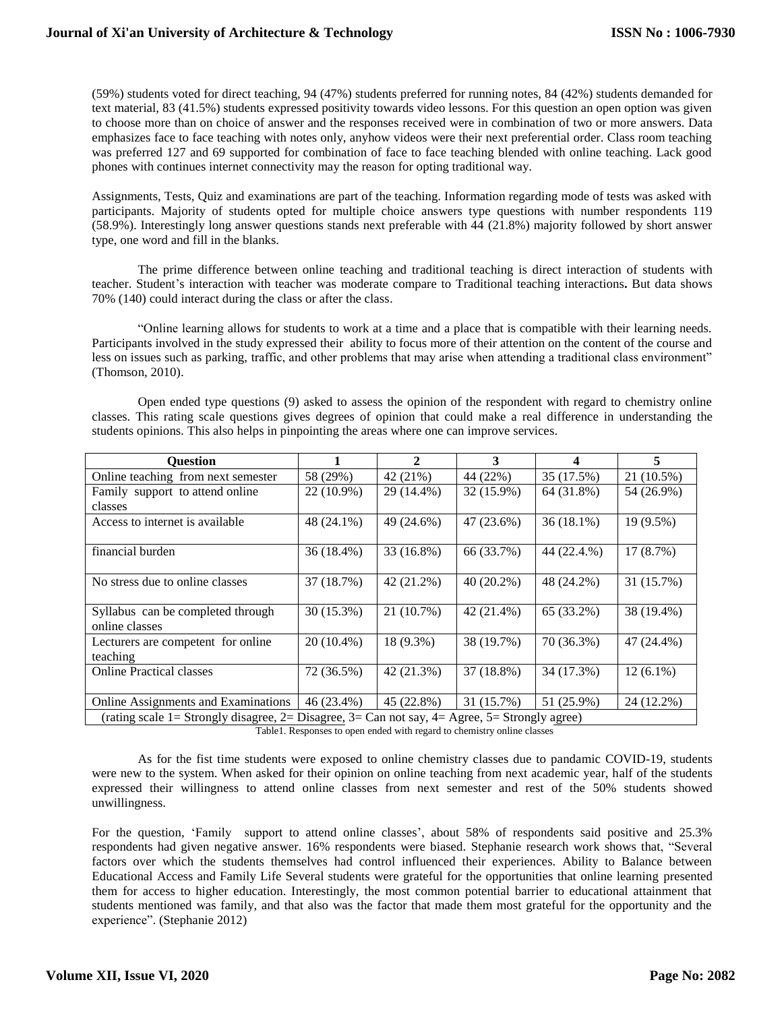(59%) students voted for direct teaching, 94 (47%) students preferred for running notes, 84 (42%) students demanded for text material, 83 (41.5%) students expressed positivity towards video lessons. For this question an open option was given to choose more than on choice of answer and the responses received were in combination of two or more answers. Data emphasizes face to face teaching with notes only, anyhow videos were their next preferential order. Class room teaching was preferred 127 and 69 supported for combination of face to face teaching blended with online teaching. Lack good phones with continues internet connectivity may the reason for opting traditional way.

Assignments, Tests, Quiz and examinations are part of the teaching. Information regarding mode of tests was asked with participants. Majority of students opted for multiple choice answers type questions with number respondents 119 (58.9%). Interestingly long answer questions stands next preferable with 44 (21.8%) majority followed by short answer type, one word and fill in the blanks.

The prime difference between online teaching and traditional teaching is direct interaction of students with teacher. Student's interaction with teacher was moderate compare to Traditional teaching interactions**.** But data shows 70% (140) could interact during the class or after the class.

"Online learning allows for students to work at a time and a place that is compatible with their learning needs. Participants involved in the study expressed their ability to focus more of their attention on the content of the course and less on issues such as parking, traffic, and other problems that may arise when attending a traditional class environment" (Thomson, 2010).

Open ended type questions (9) asked to assess the opinion of the respondent with regard to chemistry online classes. This rating scale questions gives degrees of opinion that could make a real difference in understanding the students opinions. This also helps in pinpointing the areas where one can improve services.

| <b>Ouestion</b>                                                                               |              | $\mathbf{2}$ | 3            | 4            | 5           |
|-----------------------------------------------------------------------------------------------|--------------|--------------|--------------|--------------|-------------|
| Online teaching from next semester                                                            | 58 (29%)     | 42 (21%)     | 44 (22%)     | 35 (17.5%)   | 21 (10.5%)  |
| Family support to attend online                                                               | 22 (10.9%)   | 29 (14.4%)   | 32 (15.9%)   | 64 (31.8%)   | 54 (26.9%)  |
| classes                                                                                       |              |              |              |              |             |
| Access to internet is available.                                                              | 48 (24.1%)   | 49 (24.6%)   | 47 (23.6%)   | $36(18.1\%)$ | 19 (9.5%)   |
|                                                                                               |              |              |              |              |             |
| financial burden                                                                              | $36(18.4\%)$ | 33 (16.8%)   | 66 (33.7%)   | 44 (22.4.%)  | 17(8.7%)    |
|                                                                                               |              |              |              |              |             |
| No stress due to online classes                                                               | 37 (18.7%)   | 42 (21.2%)   | $40(20.2\%)$ | 48 (24.2%)   | 31 (15.7%)  |
|                                                                                               |              |              |              |              |             |
| Syllabus can be completed through                                                             | 30 (15.3%)   | 21 (10.7%)   | 42 (21.4%)   | 65 (33.2%)   | 38 (19.4%)  |
| online classes                                                                                |              |              |              |              |             |
| Lecturers are competent for online                                                            | $20(10.4\%)$ | 18 (9.3%)    | 38 (19.7%)   | 70 (36.3%)   | 47 (24.4%)  |
| teaching                                                                                      |              |              |              |              |             |
| <b>Online Practical classes</b>                                                               | 72 (36.5%)   | 42 (21.3%)   | 37 (18.8%)   | 34 (17.3%)   | $12(6.1\%)$ |
|                                                                                               |              |              |              |              |             |
| Online Assignments and Examinations                                                           | 46 (23.4%)   | 45 (22.8%)   | 31 (15.7%)   | 51 (25.9%)   | 24 (12.2%)  |
| (rating scale 1= Strongly disagree, 2= Disagree, 3= Can not say, 4= Agree, 5= Strongly agree) |              |              |              |              |             |

Table1. Responses to open ended with regard to chemistry online classes

As for the fist time students were exposed to online chemistry classes due to pandamic COVID-19, students were new to the system. When asked for their opinion on online teaching from next academic year, half of the students expressed their willingness to attend online classes from next semester and rest of the 50% students showed unwillingness.

For the question, 'Family support to attend online classes', about 58% of respondents said positive and 25.3% respondents had given negative answer. 16% respondents were biased. Stephanie research work shows that, "Several factors over which the students themselves had control influenced their experiences. Ability to Balance between Educational Access and Family Life Several students were grateful for the opportunities that online learning presented them for access to higher education. Interestingly, the most common potential barrier to educational attainment that students mentioned was family, and that also was the factor that made them most grateful for the opportunity and the experience". (Stephanie 2012)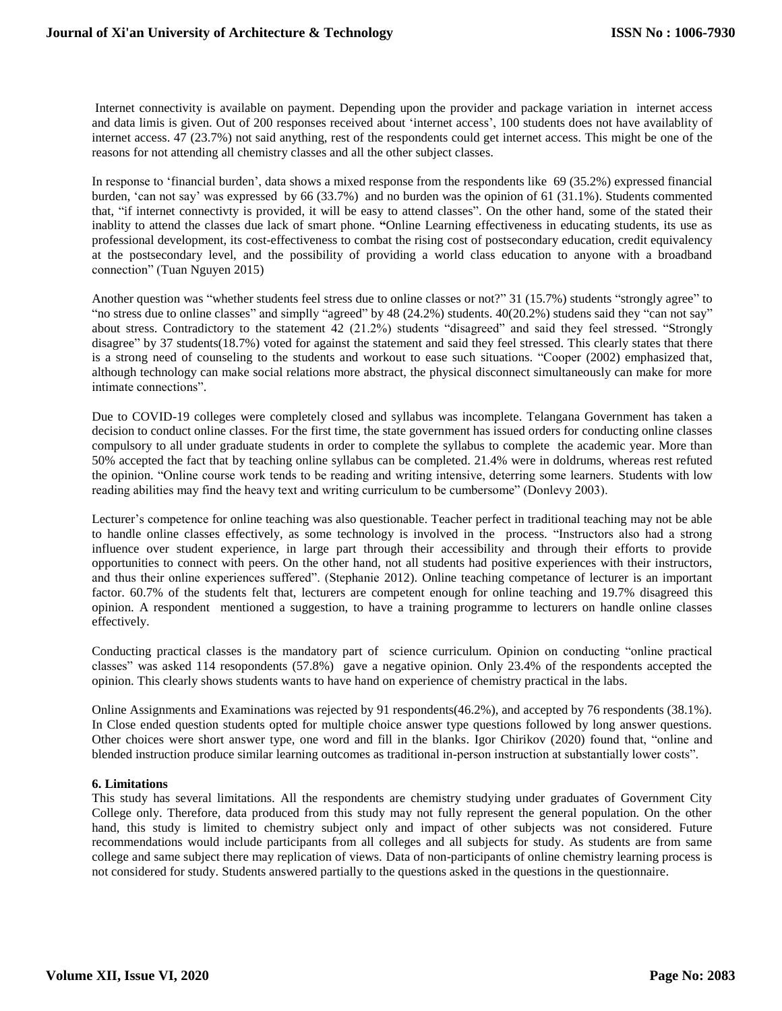Internet connectivity is available on payment. Depending upon the provider and package variation in internet access and data limis is given. Out of 200 responses received about 'internet access', 100 students does not have availablity of internet access. 47 (23.7%) not said anything, rest of the respondents could get internet access. This might be one of the reasons for not attending all chemistry classes and all the other subject classes.

In response to 'financial burden', data shows a mixed response from the respondents like 69 (35.2%) expressed financial burden, 'can not say' was expressed by 66 (33.7%) and no burden was the opinion of 61 (31.1%). Students commented that, "if internet connectivty is provided, it will be easy to attend classes". On the other hand, some of the stated their inablity to attend the classes due lack of smart phone. **"**Online Learning effectiveness in educating students, its use as professional development, its cost-effectiveness to combat the rising cost of postsecondary education, credit equivalency at the postsecondary level, and the possibility of providing a world class education to anyone with a broadband connection" (Tuan Nguyen 2015)

Another question was "whether students feel stress due to online classes or not?" 31 (15.7%) students "strongly agree" to "no stress due to online classes" and simplly "agreed" by 48 (24.2%) students. 40(20.2%) studens said they "can not say" about stress. Contradictory to the statement 42 (21.2%) students "disagreed" and said they feel stressed. "Strongly disagree" by 37 students(18.7%) voted for against the statement and said they feel stressed. This clearly states that there is a strong need of counseling to the students and workout to ease such situations. "Cooper (2002) emphasized that, although technology can make social relations more abstract, the physical disconnect simultaneously can make for more intimate connections".

Due to COVID-19 colleges were completely closed and syllabus was incomplete. Telangana Government has taken a decision to conduct online classes. For the first time, the state government has issued orders for conducting online classes compulsory to all under graduate students in order to complete the syllabus to complete the academic year. More than 50% accepted the fact that by teaching online syllabus can be completed. 21.4% were in doldrums, whereas rest refuted the opinion. "Online course work tends to be reading and writing intensive, deterring some learners. Students with low reading abilities may find the heavy text and writing curriculum to be cumbersome" (Donlevy 2003).

Lecturer's competence for online teaching was also questionable. Teacher perfect in traditional teaching may not be able to handle online classes effectively, as some technology is involved in the process. "Instructors also had a strong influence over student experience, in large part through their accessibility and through their efforts to provide opportunities to connect with peers. On the other hand, not all students had positive experiences with their instructors, and thus their online experiences suffered". (Stephanie 2012). Online teaching competance of lecturer is an important factor. 60.7% of the students felt that, lecturers are competent enough for online teaching and 19.7% disagreed this opinion. A respondent mentioned a suggestion, to have a training programme to lecturers on handle online classes effectively.

Conducting practical classes is the mandatory part of science curriculum. Opinion on conducting "online practical classes" was asked 114 resopondents (57.8%) gave a negative opinion. Only 23.4% of the respondents accepted the opinion. This clearly shows students wants to have hand on experience of chemistry practical in the labs.

Online Assignments and Examinations was rejected by 91 respondents(46.2%), and accepted by 76 respondents (38.1%). In Close ended question students opted for multiple choice answer type questions followed by long answer questions. Other choices were short answer type, one word and fill in the blanks. Igor Chirikov (2020) found that, "online and blended instruction produce similar learning outcomes as traditional in-person instruction at substantially lower costs".

# **6. Limitations**

This study has several limitations. All the respondents are chemistry studying under graduates of Government City College only. Therefore, data produced from this study may not fully represent the general population. On the other hand, this study is limited to chemistry subject only and impact of other subjects was not considered. Future recommendations would include participants from all colleges and all subjects for study. As students are from same college and same subject there may replication of views. Data of non-participants of online chemistry learning process is not considered for study. Students answered partially to the questions asked in the questions in the questionnaire.